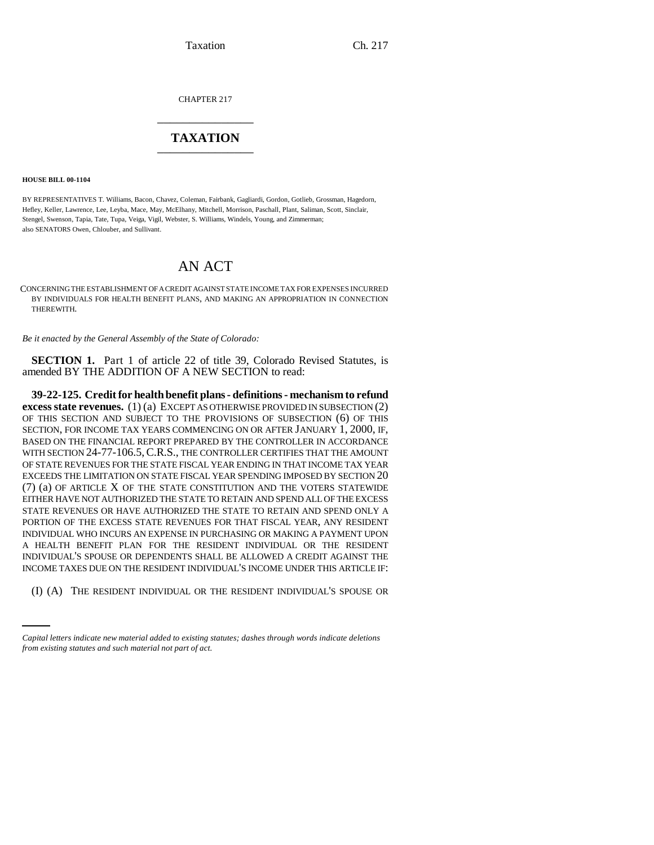Taxation Ch. 217

CHAPTER 217 \_\_\_\_\_\_\_\_\_\_\_\_\_\_\_

## **TAXATION** \_\_\_\_\_\_\_\_\_\_\_\_\_\_\_

**HOUSE BILL 00-1104** 

BY REPRESENTATIVES T. Williams, Bacon, Chavez, Coleman, Fairbank, Gagliardi, Gordon, Gotlieb, Grossman, Hagedorn, Hefley, Keller, Lawrence, Lee, Leyba, Mace, May, McElhany, Mitchell, Morrison, Paschall, Plant, Saliman, Scott, Sinclair, Stengel, Swenson, Tapia, Tate, Tupa, Veiga, Vigil, Webster, S. Williams, Windels, Young, and Zimmerman; also SENATORS Owen, Chlouber, and Sullivant.

# AN ACT

CONCERNING THE ESTABLISHMENT OF A CREDIT AGAINST STATE INCOME TAX FOR EXPENSES INCURRED BY INDIVIDUALS FOR HEALTH BENEFIT PLANS, AND MAKING AN APPROPRIATION IN CONNECTION THEREWITH.

*Be it enacted by the General Assembly of the State of Colorado:*

**SECTION 1.** Part 1 of article 22 of title 39, Colorado Revised Statutes, is amended BY THE ADDITION OF A NEW SECTION to read:

INCOME TAXES DUE ON THE RESIDENT INDIVIDUAL'S INCOME UNDER THIS ARTICLE IF: **39-22-125. Credit for health benefit plans - definitions - mechanism to refund excess state revenues.** (1) (a) EXCEPT AS OTHERWISE PROVIDED IN SUBSECTION (2) OF THIS SECTION AND SUBJECT TO THE PROVISIONS OF SUBSECTION (6) OF THIS SECTION, FOR INCOME TAX YEARS COMMENCING ON OR AFTER JANUARY 1, 2000, IF, BASED ON THE FINANCIAL REPORT PREPARED BY THE CONTROLLER IN ACCORDANCE WITH SECTION 24-77-106.5, C.R.S., THE CONTROLLER CERTIFIES THAT THE AMOUNT OF STATE REVENUES FOR THE STATE FISCAL YEAR ENDING IN THAT INCOME TAX YEAR EXCEEDS THE LIMITATION ON STATE FISCAL YEAR SPENDING IMPOSED BY SECTION 20 (7) (a) OF ARTICLE X OF THE STATE CONSTITUTION AND THE VOTERS STATEWIDE EITHER HAVE NOT AUTHORIZED THE STATE TO RETAIN AND SPEND ALL OF THE EXCESS STATE REVENUES OR HAVE AUTHORIZED THE STATE TO RETAIN AND SPEND ONLY A PORTION OF THE EXCESS STATE REVENUES FOR THAT FISCAL YEAR, ANY RESIDENT INDIVIDUAL WHO INCURS AN EXPENSE IN PURCHASING OR MAKING A PAYMENT UPON A HEALTH BENEFIT PLAN FOR THE RESIDENT INDIVIDUAL OR THE RESIDENT INDIVIDUAL'S SPOUSE OR DEPENDENTS SHALL BE ALLOWED A CREDIT AGAINST THE

(I) (A) THE RESIDENT INDIVIDUAL OR THE RESIDENT INDIVIDUAL'S SPOUSE OR

*Capital letters indicate new material added to existing statutes; dashes through words indicate deletions from existing statutes and such material not part of act.*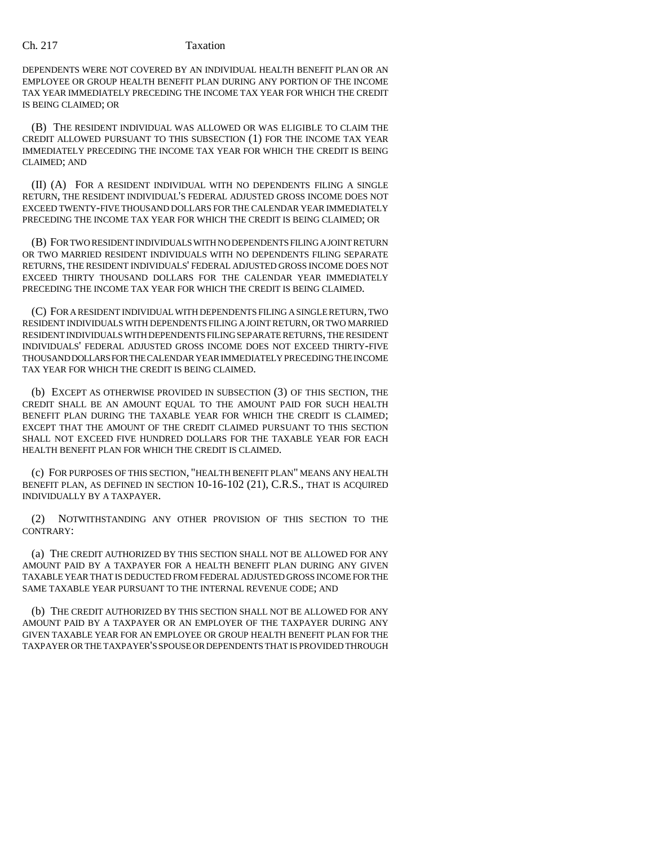DEPENDENTS WERE NOT COVERED BY AN INDIVIDUAL HEALTH BENEFIT PLAN OR AN EMPLOYEE OR GROUP HEALTH BENEFIT PLAN DURING ANY PORTION OF THE INCOME TAX YEAR IMMEDIATELY PRECEDING THE INCOME TAX YEAR FOR WHICH THE CREDIT IS BEING CLAIMED; OR

(B) THE RESIDENT INDIVIDUAL WAS ALLOWED OR WAS ELIGIBLE TO CLAIM THE CREDIT ALLOWED PURSUANT TO THIS SUBSECTION (1) FOR THE INCOME TAX YEAR IMMEDIATELY PRECEDING THE INCOME TAX YEAR FOR WHICH THE CREDIT IS BEING CLAIMED; AND

(II) (A) FOR A RESIDENT INDIVIDUAL WITH NO DEPENDENTS FILING A SINGLE RETURN, THE RESIDENT INDIVIDUAL'S FEDERAL ADJUSTED GROSS INCOME DOES NOT EXCEED TWENTY-FIVE THOUSAND DOLLARS FOR THE CALENDAR YEAR IMMEDIATELY PRECEDING THE INCOME TAX YEAR FOR WHICH THE CREDIT IS BEING CLAIMED; OR

(B) FOR TWO RESIDENT INDIVIDUALS WITH NO DEPENDENTS FILING A JOINT RETURN OR TWO MARRIED RESIDENT INDIVIDUALS WITH NO DEPENDENTS FILING SEPARATE RETURNS, THE RESIDENT INDIVIDUALS' FEDERAL ADJUSTED GROSS INCOME DOES NOT EXCEED THIRTY THOUSAND DOLLARS FOR THE CALENDAR YEAR IMMEDIATELY PRECEDING THE INCOME TAX YEAR FOR WHICH THE CREDIT IS BEING CLAIMED.

(C) FOR A RESIDENT INDIVIDUAL WITH DEPENDENTS FILING A SINGLE RETURN, TWO RESIDENT INDIVIDUALS WITH DEPENDENTS FILING A JOINT RETURN, OR TWO MARRIED RESIDENT INDIVIDUALS WITH DEPENDENTS FILING SEPARATE RETURNS, THE RESIDENT INDIVIDUALS' FEDERAL ADJUSTED GROSS INCOME DOES NOT EXCEED THIRTY-FIVE THOUSAND DOLLARS FOR THE CALENDAR YEAR IMMEDIATELY PRECEDING THE INCOME TAX YEAR FOR WHICH THE CREDIT IS BEING CLAIMED.

(b) EXCEPT AS OTHERWISE PROVIDED IN SUBSECTION (3) OF THIS SECTION, THE CREDIT SHALL BE AN AMOUNT EQUAL TO THE AMOUNT PAID FOR SUCH HEALTH BENEFIT PLAN DURING THE TAXABLE YEAR FOR WHICH THE CREDIT IS CLAIMED; EXCEPT THAT THE AMOUNT OF THE CREDIT CLAIMED PURSUANT TO THIS SECTION SHALL NOT EXCEED FIVE HUNDRED DOLLARS FOR THE TAXABLE YEAR FOR EACH HEALTH BENEFIT PLAN FOR WHICH THE CREDIT IS CLAIMED.

(c) FOR PURPOSES OF THIS SECTION, "HEALTH BENEFIT PLAN" MEANS ANY HEALTH BENEFIT PLAN, AS DEFINED IN SECTION 10-16-102 (21), C.R.S., THAT IS ACQUIRED INDIVIDUALLY BY A TAXPAYER.

(2) NOTWITHSTANDING ANY OTHER PROVISION OF THIS SECTION TO THE CONTRARY:

(a) THE CREDIT AUTHORIZED BY THIS SECTION SHALL NOT BE ALLOWED FOR ANY AMOUNT PAID BY A TAXPAYER FOR A HEALTH BENEFIT PLAN DURING ANY GIVEN TAXABLE YEAR THAT IS DEDUCTED FROM FEDERAL ADJUSTED GROSS INCOME FOR THE SAME TAXABLE YEAR PURSUANT TO THE INTERNAL REVENUE CODE; AND

(b) THE CREDIT AUTHORIZED BY THIS SECTION SHALL NOT BE ALLOWED FOR ANY AMOUNT PAID BY A TAXPAYER OR AN EMPLOYER OF THE TAXPAYER DURING ANY GIVEN TAXABLE YEAR FOR AN EMPLOYEE OR GROUP HEALTH BENEFIT PLAN FOR THE TAXPAYER OR THE TAXPAYER'S SPOUSE OR DEPENDENTS THAT IS PROVIDED THROUGH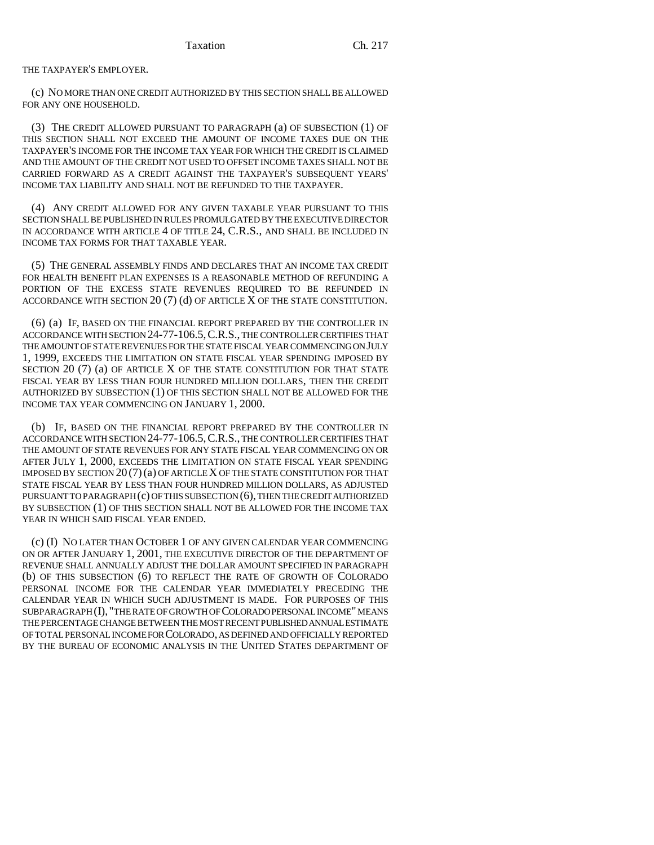### THE TAXPAYER'S EMPLOYER.

(c) NO MORE THAN ONE CREDIT AUTHORIZED BY THIS SECTION SHALL BE ALLOWED FOR ANY ONE HOUSEHOLD.

(3) THE CREDIT ALLOWED PURSUANT TO PARAGRAPH (a) OF SUBSECTION (1) OF THIS SECTION SHALL NOT EXCEED THE AMOUNT OF INCOME TAXES DUE ON THE TAXPAYER'S INCOME FOR THE INCOME TAX YEAR FOR WHICH THE CREDIT IS CLAIMED AND THE AMOUNT OF THE CREDIT NOT USED TO OFFSET INCOME TAXES SHALL NOT BE CARRIED FORWARD AS A CREDIT AGAINST THE TAXPAYER'S SUBSEQUENT YEARS' INCOME TAX LIABILITY AND SHALL NOT BE REFUNDED TO THE TAXPAYER.

(4) ANY CREDIT ALLOWED FOR ANY GIVEN TAXABLE YEAR PURSUANT TO THIS SECTION SHALL BE PUBLISHED IN RULES PROMULGATED BY THE EXECUTIVE DIRECTOR IN ACCORDANCE WITH ARTICLE 4 OF TITLE 24, C.R.S., AND SHALL BE INCLUDED IN INCOME TAX FORMS FOR THAT TAXABLE YEAR.

(5) THE GENERAL ASSEMBLY FINDS AND DECLARES THAT AN INCOME TAX CREDIT FOR HEALTH BENEFIT PLAN EXPENSES IS A REASONABLE METHOD OF REFUNDING A PORTION OF THE EXCESS STATE REVENUES REQUIRED TO BE REFUNDED IN ACCORDANCE WITH SECTION 20 (7) (d) OF ARTICLE X OF THE STATE CONSTITUTION.

(6) (a) IF, BASED ON THE FINANCIAL REPORT PREPARED BY THE CONTROLLER IN ACCORDANCE WITH SECTION 24-77-106.5,C.R.S., THE CONTROLLER CERTIFIES THAT THE AMOUNT OF STATE REVENUES FOR THE STATE FISCAL YEAR COMMENCING ON JULY 1, 1999, EXCEEDS THE LIMITATION ON STATE FISCAL YEAR SPENDING IMPOSED BY SECTION 20 (7) (a) OF ARTICLE X OF THE STATE CONSTITUTION FOR THAT STATE FISCAL YEAR BY LESS THAN FOUR HUNDRED MILLION DOLLARS, THEN THE CREDIT AUTHORIZED BY SUBSECTION (1) OF THIS SECTION SHALL NOT BE ALLOWED FOR THE INCOME TAX YEAR COMMENCING ON JANUARY 1, 2000.

(b) IF, BASED ON THE FINANCIAL REPORT PREPARED BY THE CONTROLLER IN ACCORDANCE WITH SECTION 24-77-106.5,C.R.S., THE CONTROLLER CERTIFIES THAT THE AMOUNT OF STATE REVENUES FOR ANY STATE FISCAL YEAR COMMENCING ON OR AFTER JULY 1, 2000, EXCEEDS THE LIMITATION ON STATE FISCAL YEAR SPENDING IMPOSED BY SECTION  $20(7)(a)$  OF ARTICLE X OF THE STATE CONSTITUTION FOR THAT STATE FISCAL YEAR BY LESS THAN FOUR HUNDRED MILLION DOLLARS, AS ADJUSTED PURSUANT TO PARAGRAPH (c) OF THIS SUBSECTION (6), THEN THE CREDIT AUTHORIZED BY SUBSECTION (1) OF THIS SECTION SHALL NOT BE ALLOWED FOR THE INCOME TAX YEAR IN WHICH SAID FISCAL YEAR ENDED.

(c) (I) NO LATER THAN OCTOBER 1 OF ANY GIVEN CALENDAR YEAR COMMENCING ON OR AFTER JANUARY 1, 2001, THE EXECUTIVE DIRECTOR OF THE DEPARTMENT OF REVENUE SHALL ANNUALLY ADJUST THE DOLLAR AMOUNT SPECIFIED IN PARAGRAPH (b) OF THIS SUBSECTION (6) TO REFLECT THE RATE OF GROWTH OF COLORADO PERSONAL INCOME FOR THE CALENDAR YEAR IMMEDIATELY PRECEDING THE CALENDAR YEAR IN WHICH SUCH ADJUSTMENT IS MADE. FOR PURPOSES OF THIS SUBPARAGRAPH (I), "THE RATE OF GROWTH OF COLORADO PERSONAL INCOME" MEANS THE PERCENTAGE CHANGE BETWEEN THE MOST RECENT PUBLISHED ANNUAL ESTIMATE OF TOTAL PERSONAL INCOME FOR COLORADO, AS DEFINED AND OFFICIALLY REPORTED BY THE BUREAU OF ECONOMIC ANALYSIS IN THE UNITED STATES DEPARTMENT OF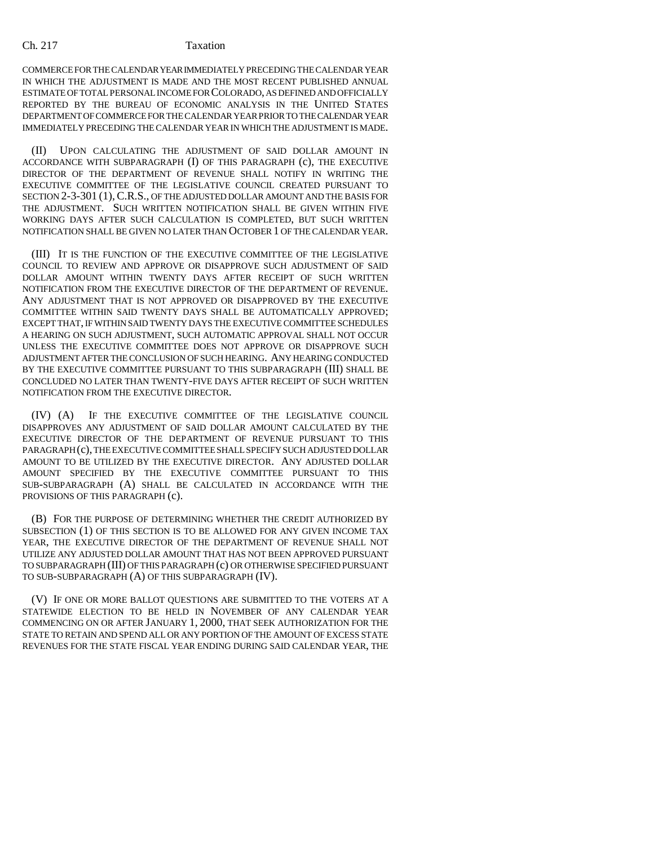### Ch. 217 Taxation

COMMERCE FOR THE CALENDAR YEAR IMMEDIATELY PRECEDING THE CALENDAR YEAR IN WHICH THE ADJUSTMENT IS MADE AND THE MOST RECENT PUBLISHED ANNUAL ESTIMATE OF TOTAL PERSONAL INCOME FOR COLORADO, AS DEFINED AND OFFICIALLY REPORTED BY THE BUREAU OF ECONOMIC ANALYSIS IN THE UNITED STATES DEPARTMENT OF COMMERCE FOR THE CALENDAR YEAR PRIOR TO THE CALENDAR YEAR IMMEDIATELY PRECEDING THE CALENDAR YEAR IN WHICH THE ADJUSTMENT IS MADE.

(II) UPON CALCULATING THE ADJUSTMENT OF SAID DOLLAR AMOUNT IN ACCORDANCE WITH SUBPARAGRAPH (I) OF THIS PARAGRAPH (c), THE EXECUTIVE DIRECTOR OF THE DEPARTMENT OF REVENUE SHALL NOTIFY IN WRITING THE EXECUTIVE COMMITTEE OF THE LEGISLATIVE COUNCIL CREATED PURSUANT TO SECTION 2-3-301 (1),C.R.S., OF THE ADJUSTED DOLLAR AMOUNT AND THE BASIS FOR THE ADJUSTMENT. SUCH WRITTEN NOTIFICATION SHALL BE GIVEN WITHIN FIVE WORKING DAYS AFTER SUCH CALCULATION IS COMPLETED, BUT SUCH WRITTEN NOTIFICATION SHALL BE GIVEN NO LATER THAN OCTOBER 1 OF THE CALENDAR YEAR.

(III) IT IS THE FUNCTION OF THE EXECUTIVE COMMITTEE OF THE LEGISLATIVE COUNCIL TO REVIEW AND APPROVE OR DISAPPROVE SUCH ADJUSTMENT OF SAID DOLLAR AMOUNT WITHIN TWENTY DAYS AFTER RECEIPT OF SUCH WRITTEN NOTIFICATION FROM THE EXECUTIVE DIRECTOR OF THE DEPARTMENT OF REVENUE. ANY ADJUSTMENT THAT IS NOT APPROVED OR DISAPPROVED BY THE EXECUTIVE COMMITTEE WITHIN SAID TWENTY DAYS SHALL BE AUTOMATICALLY APPROVED; EXCEPT THAT, IF WITHIN SAID TWENTY DAYS THE EXECUTIVE COMMITTEE SCHEDULES A HEARING ON SUCH ADJUSTMENT, SUCH AUTOMATIC APPROVAL SHALL NOT OCCUR UNLESS THE EXECUTIVE COMMITTEE DOES NOT APPROVE OR DISAPPROVE SUCH ADJUSTMENT AFTER THE CONCLUSION OF SUCH HEARING. ANY HEARING CONDUCTED BY THE EXECUTIVE COMMITTEE PURSUANT TO THIS SUBPARAGRAPH (III) SHALL BE CONCLUDED NO LATER THAN TWENTY-FIVE DAYS AFTER RECEIPT OF SUCH WRITTEN NOTIFICATION FROM THE EXECUTIVE DIRECTOR.

(IV) (A) IF THE EXECUTIVE COMMITTEE OF THE LEGISLATIVE COUNCIL DISAPPROVES ANY ADJUSTMENT OF SAID DOLLAR AMOUNT CALCULATED BY THE EXECUTIVE DIRECTOR OF THE DEPARTMENT OF REVENUE PURSUANT TO THIS PARAGRAPH (c), THE EXECUTIVE COMMITTEE SHALL SPECIFY SUCH ADJUSTED DOLLAR AMOUNT TO BE UTILIZED BY THE EXECUTIVE DIRECTOR. ANY ADJUSTED DOLLAR AMOUNT SPECIFIED BY THE EXECUTIVE COMMITTEE PURSUANT TO THIS SUB-SUBPARAGRAPH (A) SHALL BE CALCULATED IN ACCORDANCE WITH THE PROVISIONS OF THIS PARAGRAPH (c).

(B) FOR THE PURPOSE OF DETERMINING WHETHER THE CREDIT AUTHORIZED BY SUBSECTION (1) OF THIS SECTION IS TO BE ALLOWED FOR ANY GIVEN INCOME TAX YEAR, THE EXECUTIVE DIRECTOR OF THE DEPARTMENT OF REVENUE SHALL NOT UTILIZE ANY ADJUSTED DOLLAR AMOUNT THAT HAS NOT BEEN APPROVED PURSUANT TO SUBPARAGRAPH (III) OF THIS PARAGRAPH (c) OR OTHERWISE SPECIFIED PURSUANT TO SUB-SUBPARAGRAPH (A) OF THIS SUBPARAGRAPH (IV).

(V) IF ONE OR MORE BALLOT QUESTIONS ARE SUBMITTED TO THE VOTERS AT A STATEWIDE ELECTION TO BE HELD IN NOVEMBER OF ANY CALENDAR YEAR COMMENCING ON OR AFTER JANUARY 1, 2000, THAT SEEK AUTHORIZATION FOR THE STATE TO RETAIN AND SPEND ALL OR ANY PORTION OF THE AMOUNT OF EXCESS STATE REVENUES FOR THE STATE FISCAL YEAR ENDING DURING SAID CALENDAR YEAR, THE